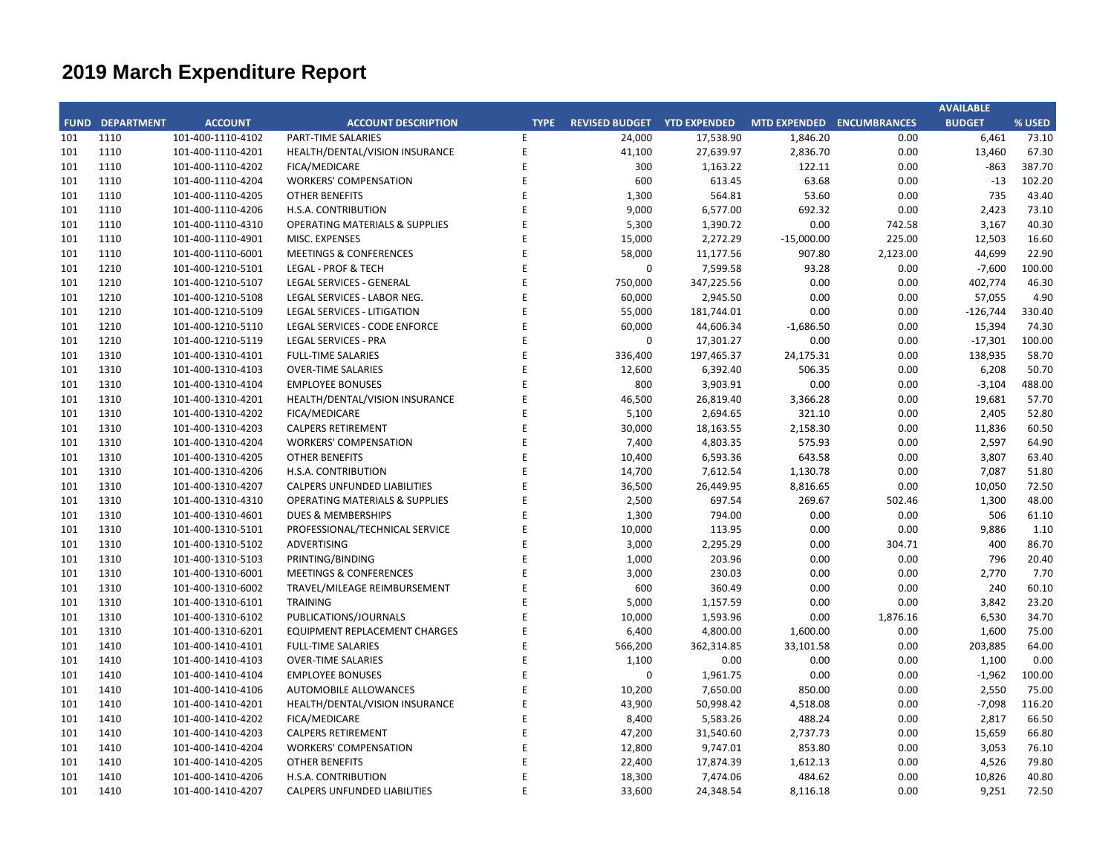## **CITY OF RANCHO PALOS VERDES SUMMARY OF EXPENDITURES - ALL FUNDS March 31, 2020**

|             |                                     |                       | FY 2019-20         |                    | FY 2018-19                             |             |                                        |                                                   |           |
|-------------|-------------------------------------|-----------------------|--------------------|--------------------|----------------------------------------|-------------|----------------------------------------|---------------------------------------------------|-----------|
| <b>FUND</b> | <b>FUND DESCRIPTION</b>             | <b>REVISED BUDGET</b> | <b>YTD ACTUALS</b> | <b>YTD ENCUMB.</b> | <b>YTD ACTUALS +</b><br><b>ENCUMB.</b> | <b>USED</b> | <b>YTD ACTUALS +</b><br><b>ENCUMB.</b> | YEAR OVER YEAR CHANGE<br><b>ACTUALS + ENCUMB.</b> |           |
|             | 101 GENERAL FUND                    |                       |                    |                    |                                        |             |                                        |                                                   |           |
|             | <b>CITY COUNCIL</b>                 | \$<br>123,200         | \$<br>69,048 \$    | $160 \quad$ \$     | 69,208                                 | 56.2%       | \$<br>72,029                           | (52, 821)                                         | $-3.9%$   |
|             | <b>LEGAL SERVICES</b>               | 925,000               | 725,302            | $\mathbf 0$        | 725,302                                | 78.4%       | 601,422                                | 123,880                                           | 20.6%     |
|             | <b>CITY CLERK</b>                   | 711,100               | 618,789            | 2,208              | 620,996                                | 87.3%       | 317,949                                | 303,047                                           | 95.3%     |
|             | <b>CITY MANAGER</b>                 | 778,000               | 500,533            | 1,061              | 501,594                                | 64.5%       | 595,149                                | (93, 555)                                         | $-15.7%$  |
|             | <b>CITY ADMINISTRATION</b>          | 493,300               | 177,732            | 60,888             | 238,619                                | 48.4%       | 308,431                                | (69, 812)                                         | $-22.6%$  |
|             | <b>HUMAN RESOURCES</b>              | 447,426               | 264,864            | 112                | 264,976                                | 59.2%       | 263,074                                | 1,902                                             | 0.7%      |
|             | <b>INFORMATION TECHNOLOGIES</b>     | 1,197,689             | 837,706            | 154,601            | 992,307                                | 82.9%       | 970,272                                | 22,035                                            | 2.3%      |
|             | <b>FINANCE</b>                      | 1,657,362             | 1,213,277          | 28,153             | 1,241,430                              | 74.9%       | 1,096,707                              | 144,722                                           | 13.2%     |
|             | <b>PUBLIC WORKS</b>                 | 6,567,964             | 3,698,656          | 1,777,672          | 5,476,328                              | 83.4%       | 4,539,265                              | 937,063                                           | 20.6%     |
|             | <b>COMMUNITY DEVELOPMENT</b>        | 3,819,948             | 2,118,187          | 339,309            | 2,457,497                              | 64.3%       | 2,712,457                              | (254,960)                                         | $-9.4%$   |
|             | <b>RECREATIONAL &amp; PARKS</b>     | 3,058,664             | 1,940,745          | 36,529             | 1,977,274                              | 64.6%       | 2,025,681                              | (48, 407)                                         | $-2.4%$   |
|             | <b>PUBLIC SAFETY</b>                | 7,404,700             | 4,954,010          | 1,557,463          | 6,511,473                              | 87.9%       | 7,615,924                              | (1, 104, 451)                                     | $-14.5%$  |
|             | NON-DEPARTMENTAL                    | 1,495,961             | 924,905            | 85,054             | 1,009,959                              | 67.5%       | 872,220                                | 137,739                                           | 15.8%     |
|             | COVID-19                            | $\pmb{0}$             | 66                 | $\mathbf 0$        | 66                                     | 0.0%        | $\mathbf 0$                            | 66                                                | 0.0%      |
|             | <b>TRANSFERS OUT</b>                | 4,116,900             | 2,437,675          | $\mathbf 0$        | 2,437,675                              | 59.2%       | 3,423,525                              | (985, 850)                                        | $-28.8%$  |
|             | <b>TOTAL GENERAL FUND</b>           | 32,797,213            | 20,481,495         | 4,043,210          | 24,524,705                             | 74.8%       | 25,414,105                             | (889, 401)                                        | $-3.5%$   |
|             |                                     |                       |                    |                    |                                        |             |                                        |                                                   |           |
|             | <b>200 SPECIAL REVENUE FUNDS</b>    |                       |                    |                    |                                        |             |                                        |                                                   |           |
|             | 202 STREET MAINTENANCE              | 3,301,966             | 635,494            | 2,396,496          | 3,031,990                              | 91.8%       | 923,318                                | 2,108,672                                         | 228.4%    |
|             | 203 1972 ACT LANDSCAPING & LIGHTING | $\mathbf 0$           | $\mathbf{0}$       | $\mathbf{0}$       | $\mathbf 0$                            | 0.0%        | $\mathbf 0$                            | $\mathbf{0}$                                      | 0.0%      |
|             | 209 EL PRADO LIGHTING DISTRICT      | 800                   | $\mathbf 0$        | $\mathbf 0$        | 0                                      | 0.0%        | 500                                    | (500)                                             | $-100.0%$ |
|             | 211 1911 ACT STREET LIGHTING        | 1,011,941             | 788,832            | 74,172             | 863,004                                | 85.3%       | 1,878,513                              | (1,015,509)                                       | $-54.1%$  |
|             | 212 BEAUTIFICATION                  | $\mathbf 0$           | 0                  | $\mathbf 0$        | 0                                      | 0.0%        | 589,411                                | (589, 411)                                        | $-100.0%$ |
|             | 213 WASTE REDUCTION                 | 304,100               | 153,246            | 60,578             | 213,824                                | 70.3%       | 200,870                                | 12,955                                            | 6.4%      |
|             | 214 AIR QUALITY MANAGEMENT          | 50,000                | $\mathbf 0$        | $\mathbf 0$        | $\mathbf 0$                            | 0.0%        | 50,000                                 | (50,000)                                          | $-100.0%$ |
|             | 215 PROPOSITION C                   | 1,111,401             | 144,507            | 551,724            | 696,231                                | 62.6%       | 675,780                                | 20,451                                            | 3.0%      |
|             | 216 PROPOSITION A                   | 1,971,367             | 33,362             | 1,102,695          | 1,136,057                              | 57.6%       | 729,114                                | 406,943                                           | 55.8%     |
|             | 217 PUBLIC SAFETY GRANTS            | 175,000               | 131,250            | $\mathbf 0$        | 131,250                                | 75.0%       | 97,500                                 | 33,750                                            | 34.6%     |
|             | 220 MEASURE R                       | 963,706               | 22,554             | 341,115            | 363,669                                | 37.7%       | 2,330,847                              | (1,967,177)                                       | $-84.4%$  |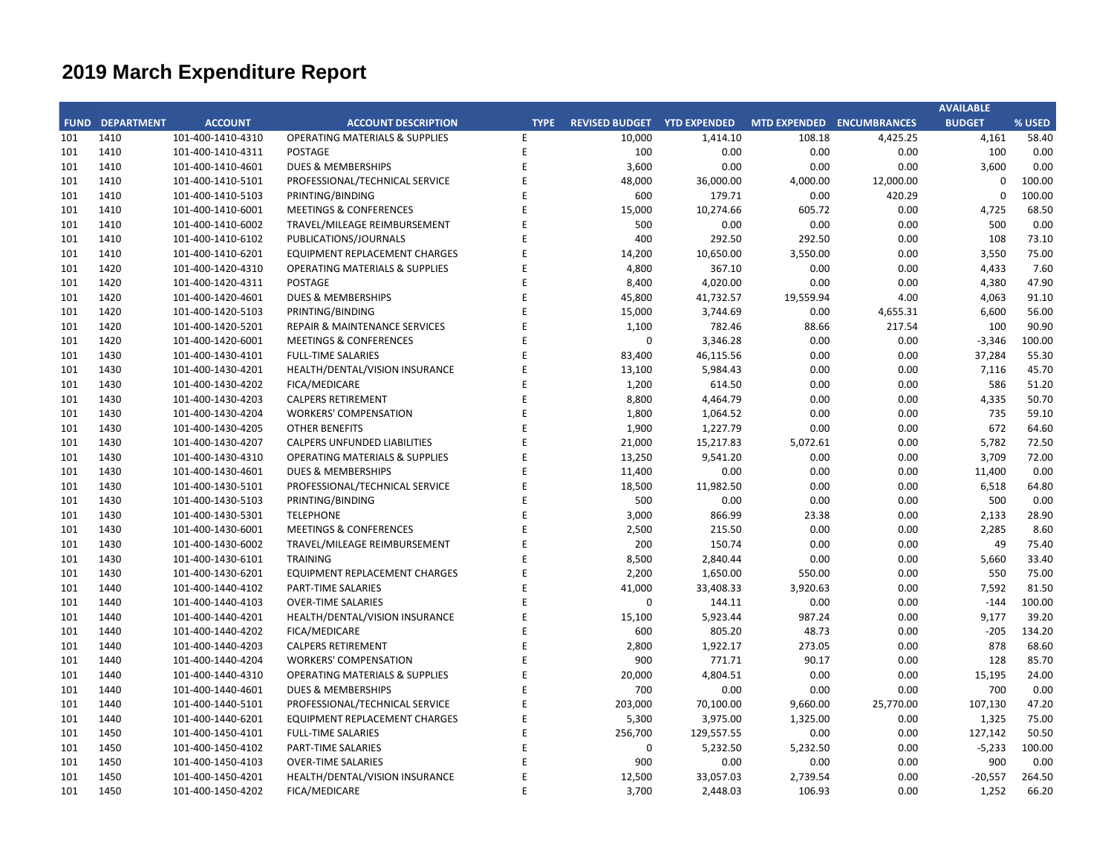## **CITY OF RANCHO PALOS VERDES SUMMARY OF EXPENDITURES - ALL FUNDS March 31, 2020**

|             |                                              |                       | FY 2019-20         |                    |                                        | FY 2018-19  |                                        |                                                   |           |
|-------------|----------------------------------------------|-----------------------|--------------------|--------------------|----------------------------------------|-------------|----------------------------------------|---------------------------------------------------|-----------|
| <b>FUND</b> | <b>FUND DESCRIPTION</b>                      | <b>REVISED BUDGET</b> | <b>YTD ACTUALS</b> | <b>YTD ENCUMB.</b> | <b>YTD ACTUALS +</b><br><b>ENCUMB.</b> | <b>USED</b> | <b>YTD ACTUALS +</b><br><b>ENCUMB.</b> | YEAR OVER YEAR CHANGE<br><b>ACTUALS + ENCUMB.</b> |           |
|             | 221 MEASURE M                                | 536,000               | 368,537            | 166,463            | 535,000                                | 99.8%       | 519,035                                | 15,965                                            | 3.1%      |
|             | 222 HABITAT RESTORATION                      | 179,500               | 114,559            | 64,938             | 179,497                                | 100.0%      | 149,500                                | 29,997                                            | 20.1%     |
|             | 223 SUBREGION ONE MAINTENANCE                | 46,800                | 28,603             | 9,750              | 38,354                                 | 82.0%       | 35,404                                 | 2,949                                             | 8.3%      |
|             | 224 MEASURE A MAINTENANCE                    | 100,000               | 75,000             | $\mathbf 0$        | 75,000                                 | 75.0%       | 67,500                                 | 7,500                                             | 11.1%     |
|             | 225 ABALONE COVE SEWER DISTRICT              | 648,100               | 58,017             | 93,087             | 151,104                                | 23.3%       | 47,584                                 | 103,520                                           | 217.5%    |
| 227         | <b>GINSBERG CULTURAL ARTS BLDG.</b>          | 0                     | 1,045              | $\mathbf 0$        | 1,045                                  | 0.0%        | 86,344                                 | (85, 299)                                         | -98.8%    |
|             | 228 DONOR RESTRICTED CONTRIBUTIONS           | 47,331                | 12,885             | 25,915             | 38,800                                 | 82.0%       | 192,117                                | (153, 317)                                        | $-79.8%$  |
|             | <b>TOTAL SPECIAL REVENUE FUNDS</b>           | 10,448,012            | 2,567,890          | 4,886,934          | 7,454,824                              | 71.4%       | 8,573,336                              | (1, 118, 512)                                     | $-13.0%$  |
|             |                                              |                       |                    |                    |                                        |             |                                        |                                                   |           |
|             | <b>300 CAPITAL PROJECTS FUNDS</b>            |                       |                    |                    |                                        |             |                                        |                                                   |           |
|             | 310 COMMUNITY DEVELOPMENT BLOCK GRANT (CDBG) | 316,100               | 139,598            | 46,228             | 185,826                                | 58.8%       | 229,300                                | (43, 474)                                         | $-19.0%$  |
|             | 330 INFRASTRUCTURE IMPROVEMENTS              | 13,446,525            | 4,306,171          | 2,039,480          | 6,345,651                              | 47.2%       | 5,480,230                              | 865,421                                           | 15.8%     |
|             | 331 FEDERAL GRANTS                           | $\boldsymbol{0}$      | $\mathbf 0$        | $\mathbf 0$        | 0                                      | 0.0%        | 237,000                                | (237,000)                                         | $-100.0%$ |
|             | 332 STATE GRANTS                             | 563,665               | 113,960            | 446,375            | 560,335                                | 99.4%       | 965,645                                | (405, 310)                                        | $-42.0%$  |
|             | 334 QUIMBY PARK DEVELOPMENT                  | 895,015               | 545,813            | 316,381            | 862,194                                | 96.3%       | 613,111                                | 249,083                                           | 40.6%     |
|             | 336 LOW-MODERATE INCOME HOUSING              | $\pmb{0}$             | $\mathbf 0$        | $\mathbf{0}$       | $\mathbf 0$                            | 0.0%        | $\mathbf 0$                            | $\mathbf{0}$                                      | 0.0%      |
| 337         | <b>AFFORDABLE HOUSING PROJECTS</b>           | $\mathbf 0$           | $\Omega$           | $\mathbf 0$        | 0                                      | 0.0%        | $\mathbf{0}$                           | $\Omega$                                          | 0.0%      |
|             | 338 DEVELOPMENT IMPACT MITIGATION (EET)      | 310,000               | 194,665            | 109,768            | 304,433                                | 98.2%       | $\mathbf 0$                            | 304,433                                           | 0.0%      |
|             | 340 BICYCLE & PEDESTRIAN ACCESS              | $\boldsymbol{0}$      | 0                  | $\mathbf 0$        | $\boldsymbol{0}$                       | 0.0%        | $\mathbf 0$                            | $\mathbf 0$                                       | 0.0%      |
|             | <b>TOTAL CAPITAL PROJECTS FUNDS</b>          | 15,531,306            | 5,300,206          | 2,958,232          | 8,258,438                              | 53.2%       | 7,525,286                              | 733,153                                           | 9.7%      |
|             |                                              |                       |                    |                    |                                        |             |                                        |                                                   |           |
| 500         | <b>ENTERPRISE FUNDS</b>                      |                       |                    |                    |                                        |             |                                        |                                                   |           |
| 501         | WATER QUALITY FLOOD PROTECTION               | 0                     | 327,211            | $\mathbf{0}$       | 327,211                                | 0.0%        | 327,211                                | $\mathbf 0$                                       | 0.0%      |
|             | <b>TOTAL ENTERPRISE FUNDS</b>                | $\mathbf{0}$          | 327,211            | $\mathbf 0$        | 327,211                                | 0.0%        | 327,211                                | $\mathbf{0}$                                      | 0.0%      |
|             |                                              |                       |                    |                    |                                        |             |                                        |                                                   |           |
| 600         | <b>INTERNAL SERVICE FUND</b>                 |                       |                    |                    |                                        |             |                                        |                                                   |           |
|             | 681 EQUIPMENT REPLACEMENT                    | 800,382               | 240,760            | 285,982            | 526,743                                | 65.8%       | 440,078                                | 86,665                                            | 19.7%     |
|             | <b>685 EMPLOYEE BENEFITS</b>                 | $\mathbf{0}$          | $\mathbf{0}$       | $\mathbf 0$        | 0                                      | 0.0%        | $\mathbf{0}$                           | $\mathbf{0}$                                      | 0.0%      |
|             | <b>TOTAL INTERNAL SERVICE FUNDS</b>          | 800,382               | 240,760            | 285,982            | 526,743                                | 65.8%       | 440,078                                | 86,665                                            | 19.7%     |